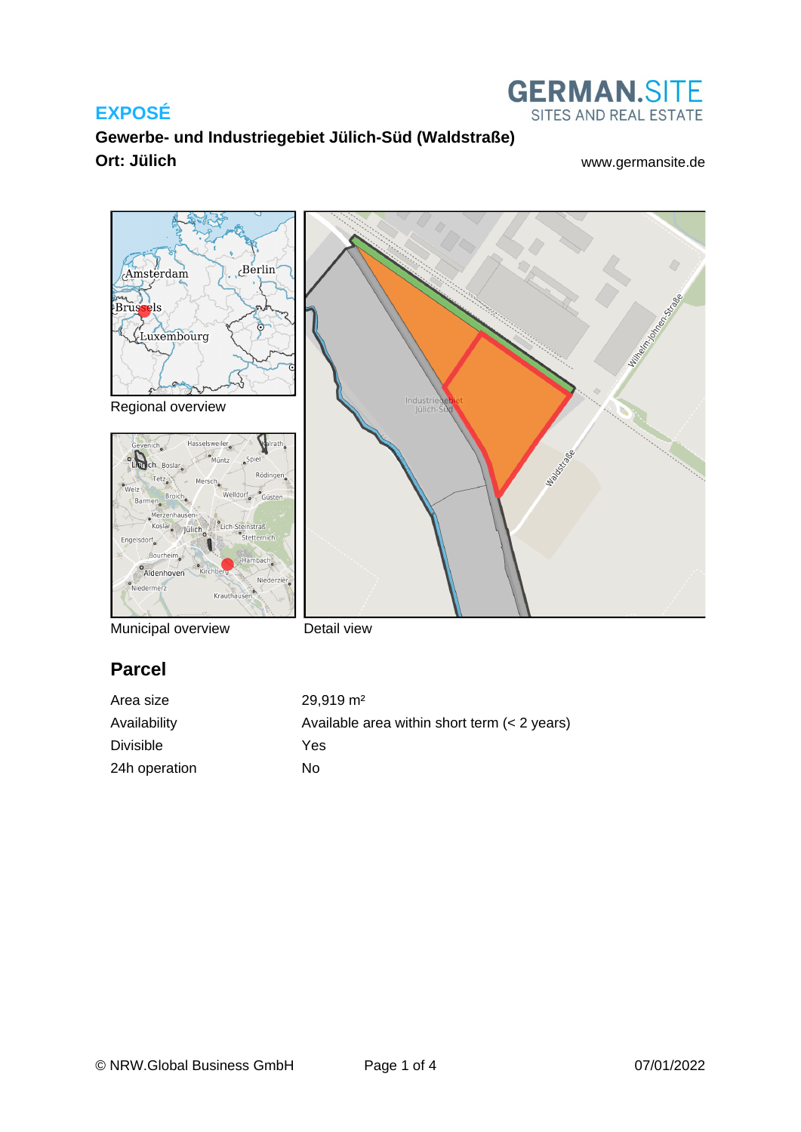

**GERMAN.SITE** SITES AND REAL ESTATE



Municipal overview

Detail view

## **Parcel**

| Area size        | $29.919 \text{ m}^2$                           |
|------------------|------------------------------------------------|
| Availability     | Available area within short term $(< 2$ years) |
| <b>Divisible</b> | Yes                                            |
| 24h operation    | N٥                                             |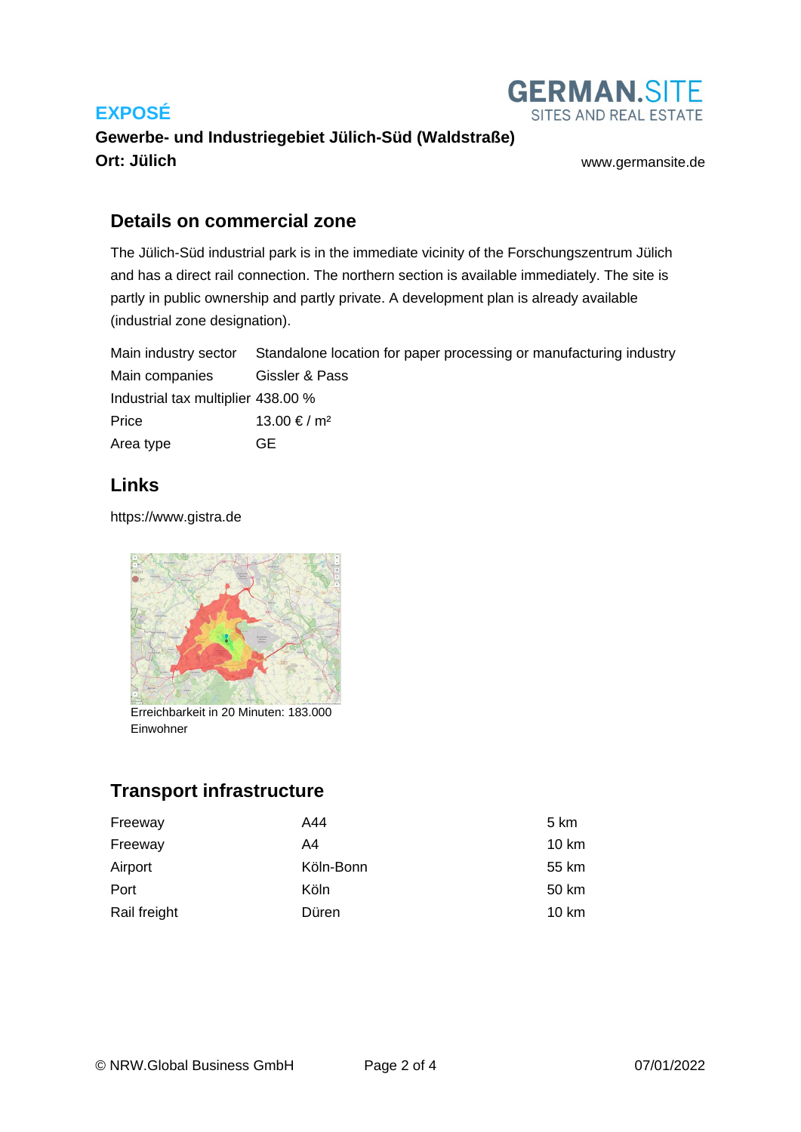

## **Gewerbe- und Industriegebiet Jülich-Süd (Waldstraße) Ort: Jülich** [www.germansite.de](http://www.germansite.de)

## **Details on commercial zone**

The Jülich-Süd industrial park is in the immediate vicinity of the Forschungszentrum Jülich and has a direct rail connection. The northern section is available immediately. The site is partly in public ownership and partly private. A development plan is already available (industrial zone designation).

Main industry sector Standalone location for paper processing or manufacturing industry Main companies Gissler & Pass Industrial tax multiplier 438.00 % Price 13.00 € / m<sup>2</sup> Area type **GE** 

## **Links**

<https://www.gistra.de>



Erreichbarkeit in 20 Minuten: 183.000 Einwohner

# **Transport infrastructure**

| Freeway      | A44       | 5 km  |
|--------------|-----------|-------|
| Freeway      | A4        | 10 km |
| Airport      | Köln-Bonn | 55 km |
| Port         | Köln      | 50 km |
| Rail freight | Düren     | 10 km |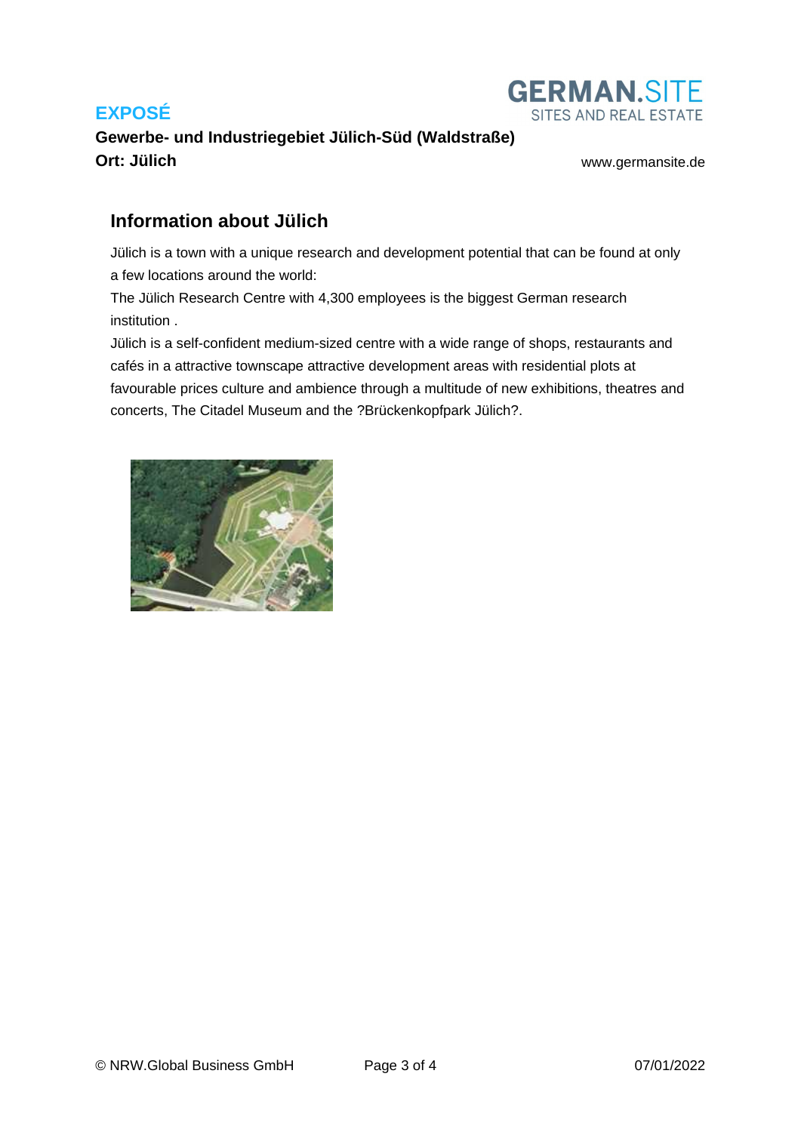

## **Gewerbe- und Industriegebiet Jülich-Süd (Waldstraße) Ort: Jülich** [www.germansite.de](http://www.germansite.de)

## **Information about Jülich**

Jülich is a town with a unique research and development potential that can be found at only a few locations around the world:

The Jülich Research Centre with 4,300 employees is the biggest German research institution .

Jülich is a self-confident medium-sized centre with a wide range of shops, restaurants and cafés in a attractive townscape attractive development areas with residential plots at favourable prices culture and ambience through a multitude of new exhibitions, theatres and concerts, The Citadel Museum and the ?Brückenkopfpark Jülich?.